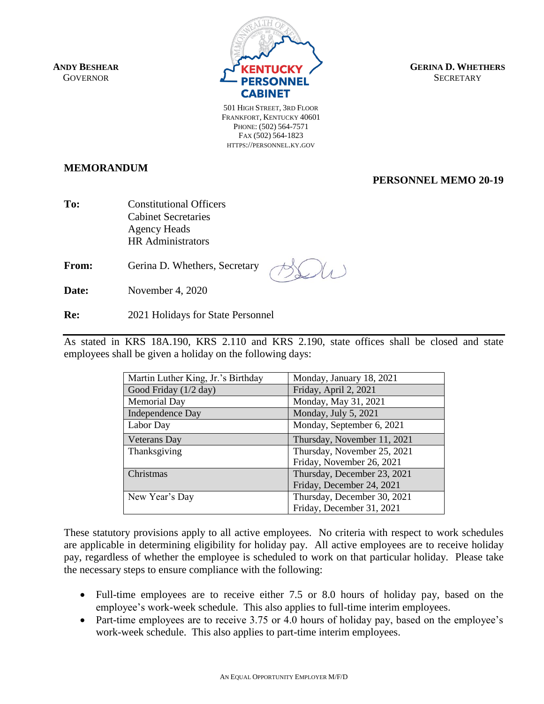

**GERINA D. WHETHERS SECRETARY** 

501 HIGH STREET, 3RD FLOOR FRANKFORT, KENTUCKY 40601 PHONE: (502) 564-7571 FAX (502) 564-1823 HTTPS://PERSONNEL.KY.GOV

**MEMORANDUM**

## **PERSONNEL MEMO 20-19**

**To:** Constitutional Officers Cabinet Secretaries Agency Heads HR Administrators

**From:** Gerina D. Whethers, Secretary

**Date:** November 4, 2020

**Re:** 2021 Holidays for State Personnel

As stated in KRS 18A.190, KRS 2.110 and KRS 2.190, state offices shall be closed and state employees shall be given a holiday on the following days:

| Martin Luther King, Jr.'s Birthday | Monday, January 18, 2021    |
|------------------------------------|-----------------------------|
| Good Friday (1/2 day)              | Friday, April 2, 2021       |
| <b>Memorial Day</b>                | Monday, May 31, 2021        |
| Independence Day                   | Monday, July 5, 2021        |
| Labor Day                          | Monday, September 6, 2021   |
| <b>Veterans</b> Day                | Thursday, November 11, 2021 |
| Thanksgiving                       | Thursday, November 25, 2021 |
|                                    | Friday, November 26, 2021   |
| Christmas                          | Thursday, December 23, 2021 |
|                                    | Friday, December 24, 2021   |
| New Year's Day                     | Thursday, December 30, 2021 |
|                                    | Friday, December 31, 2021   |

These statutory provisions apply to all active employees. No criteria with respect to work schedules are applicable in determining eligibility for holiday pay. All active employees are to receive holiday pay, regardless of whether the employee is scheduled to work on that particular holiday. Please take the necessary steps to ensure compliance with the following:

- Full-time employees are to receive either 7.5 or 8.0 hours of holiday pay, based on the employee's work-week schedule. This also applies to full-time interim employees.
- Part-time employees are to receive 3.75 or 4.0 hours of holiday pay, based on the employee's work-week schedule. This also applies to part-time interim employees.